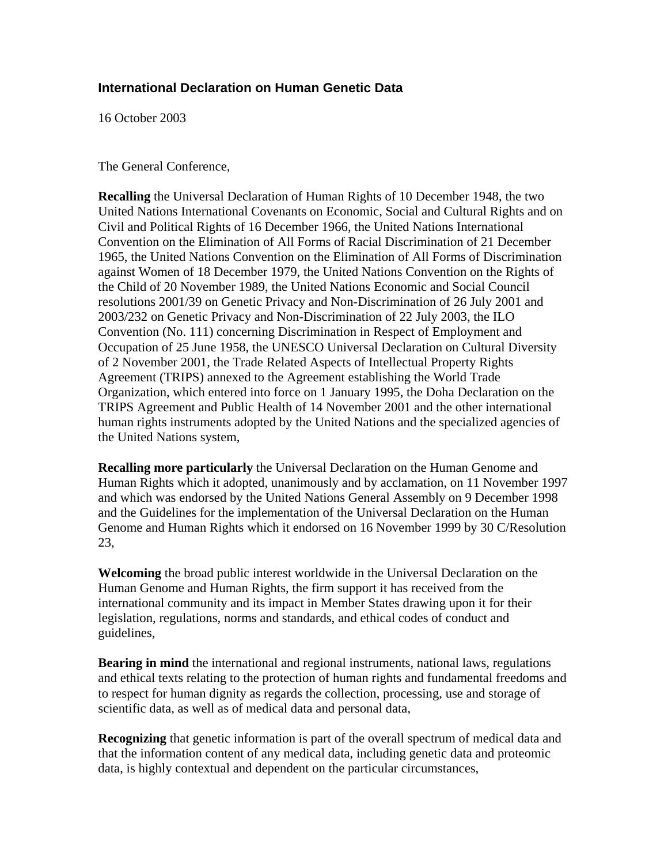# **International Declaration on Human Genetic Data**

16 October 2003

The General Conference,

**Recalling** the Universal Declaration of Human Rights of 10 December 1948, the two United Nations International Covenants on Economic, Social and Cultural Rights and on Civil and Political Rights of 16 December 1966, the United Nations International Convention on the Elimination of All Forms of Racial Discrimination of 21 December 1965, the United Nations Convention on the Elimination of All Forms of Discrimination against Women of 18 December 1979, the United Nations Convention on the Rights of the Child of 20 November 1989, the United Nations Economic and Social Council resolutions 2001/39 on Genetic Privacy and Non-Discrimination of 26 July 2001 and 2003/232 on Genetic Privacy and Non-Discrimination of 22 July 2003, the ILO Convention (No. 111) concerning Discrimination in Respect of Employment and Occupation of 25 June 1958, the UNESCO Universal Declaration on Cultural Diversity of 2 November 2001, the Trade Related Aspects of Intellectual Property Rights Agreement (TRIPS) annexed to the Agreement establishing the World Trade Organization, which entered into force on 1 January 1995, the Doha Declaration on the TRIPS Agreement and Public Health of 14 November 2001 and the other international human rights instruments adopted by the United Nations and the specialized agencies of the United Nations system,

**Recalling more particularly** the Universal Declaration on the Human Genome and Human Rights which it adopted, unanimously and by acclamation, on 11 November 1997 and which was endorsed by the United Nations General Assembly on 9 December 1998 and the Guidelines for the implementation of the Universal Declaration on the Human Genome and Human Rights which it endorsed on 16 November 1999 by 30 C/Resolution 23,

**Welcoming** the broad public interest worldwide in the Universal Declaration on the Human Genome and Human Rights, the firm support it has received from the international community and its impact in Member States drawing upon it for their legislation, regulations, norms and standards, and ethical codes of conduct and guidelines,

**Bearing in mind** the international and regional instruments, national laws, regulations and ethical texts relating to the protection of human rights and fundamental freedoms and to respect for human dignity as regards the collection, processing, use and storage of scientific data, as well as of medical data and personal data,

**Recognizing** that genetic information is part of the overall spectrum of medical data and that the information content of any medical data, including genetic data and proteomic data, is highly contextual and dependent on the particular circumstances,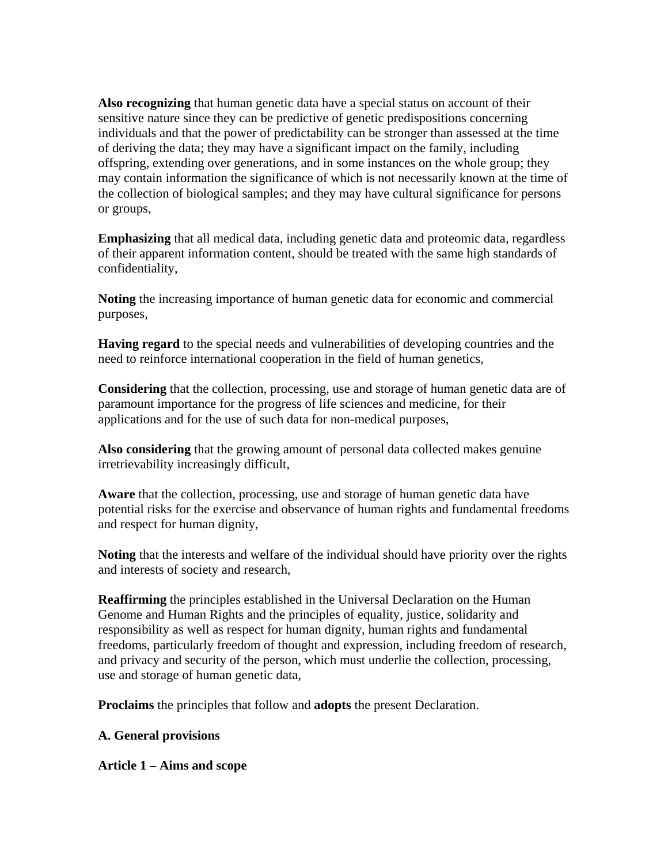**Also recognizing** that human genetic data have a special status on account of their sensitive nature since they can be predictive of genetic predispositions concerning individuals and that the power of predictability can be stronger than assessed at the time of deriving the data; they may have a significant impact on the family, including offspring, extending over generations, and in some instances on the whole group; they may contain information the significance of which is not necessarily known at the time of the collection of biological samples; and they may have cultural significance for persons or groups,

**Emphasizing** that all medical data, including genetic data and proteomic data, regardless of their apparent information content, should be treated with the same high standards of confidentiality,

**Noting** the increasing importance of human genetic data for economic and commercial purposes,

**Having regard** to the special needs and vulnerabilities of developing countries and the need to reinforce international cooperation in the field of human genetics,

**Considering** that the collection, processing, use and storage of human genetic data are of paramount importance for the progress of life sciences and medicine, for their applications and for the use of such data for non-medical purposes,

**Also considering** that the growing amount of personal data collected makes genuine irretrievability increasingly difficult,

**Aware** that the collection, processing, use and storage of human genetic data have potential risks for the exercise and observance of human rights and fundamental freedoms and respect for human dignity,

**Noting** that the interests and welfare of the individual should have priority over the rights and interests of society and research,

**Reaffirming** the principles established in the Universal Declaration on the Human Genome and Human Rights and the principles of equality, justice, solidarity and responsibility as well as respect for human dignity, human rights and fundamental freedoms, particularly freedom of thought and expression, including freedom of research, and privacy and security of the person, which must underlie the collection, processing, use and storage of human genetic data,

**Proclaims** the principles that follow and **adopts** the present Declaration.

# **A. General provisions**

**Article 1 – Aims and scope**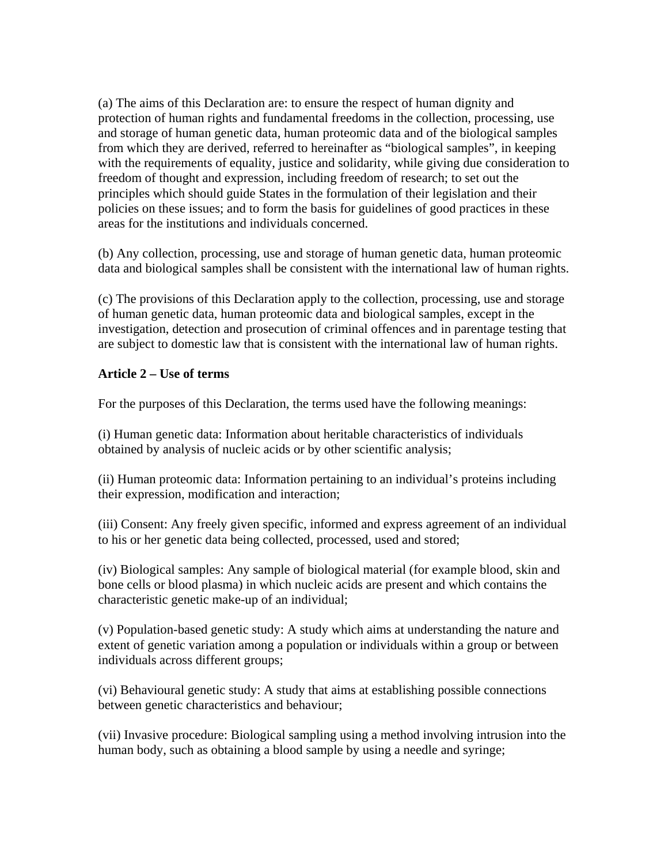(a) The aims of this Declaration are: to ensure the respect of human dignity and protection of human rights and fundamental freedoms in the collection, processing, use and storage of human genetic data, human proteomic data and of the biological samples from which they are derived, referred to hereinafter as "biological samples", in keeping with the requirements of equality, justice and solidarity, while giving due consideration to freedom of thought and expression, including freedom of research; to set out the principles which should guide States in the formulation of their legislation and their policies on these issues; and to form the basis for guidelines of good practices in these areas for the institutions and individuals concerned.

(b) Any collection, processing, use and storage of human genetic data, human proteomic data and biological samples shall be consistent with the international law of human rights.

(c) The provisions of this Declaration apply to the collection, processing, use and storage of human genetic data, human proteomic data and biological samples, except in the investigation, detection and prosecution of criminal offences and in parentage testing that are subject to domestic law that is consistent with the international law of human rights.

## **Article 2 – Use of terms**

For the purposes of this Declaration, the terms used have the following meanings:

(i) Human genetic data: Information about heritable characteristics of individuals obtained by analysis of nucleic acids or by other scientific analysis;

(ii) Human proteomic data: Information pertaining to an individual's proteins including their expression, modification and interaction;

(iii) Consent: Any freely given specific, informed and express agreement of an individual to his or her genetic data being collected, processed, used and stored;

(iv) Biological samples: Any sample of biological material (for example blood, skin and bone cells or blood plasma) in which nucleic acids are present and which contains the characteristic genetic make-up of an individual;

(v) Population-based genetic study: A study which aims at understanding the nature and extent of genetic variation among a population or individuals within a group or between individuals across different groups;

(vi) Behavioural genetic study: A study that aims at establishing possible connections between genetic characteristics and behaviour;

(vii) Invasive procedure: Biological sampling using a method involving intrusion into the human body, such as obtaining a blood sample by using a needle and syringe;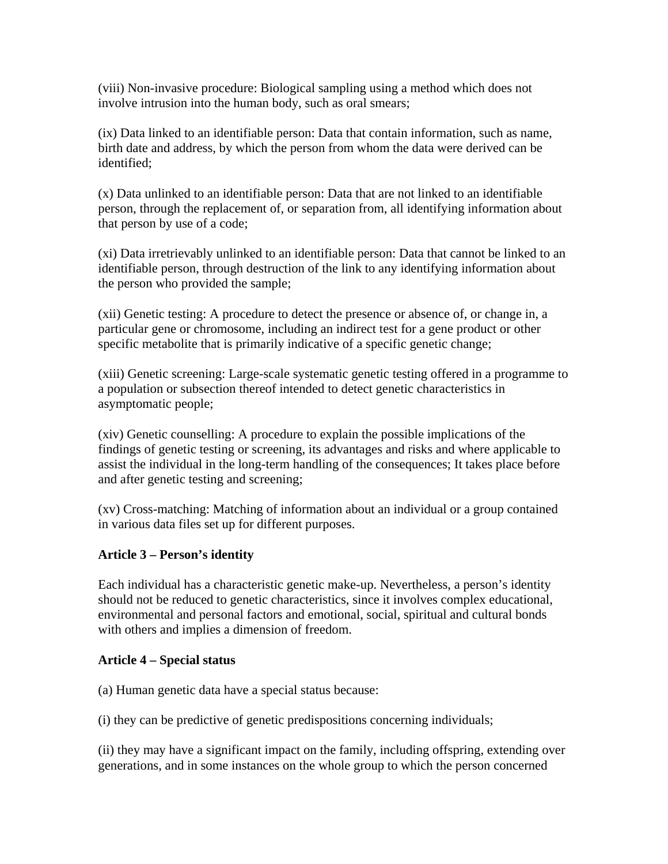(viii) Non-invasive procedure: Biological sampling using a method which does not involve intrusion into the human body, such as oral smears;

(ix) Data linked to an identifiable person: Data that contain information, such as name, birth date and address, by which the person from whom the data were derived can be identified;

(x) Data unlinked to an identifiable person: Data that are not linked to an identifiable person, through the replacement of, or separation from, all identifying information about that person by use of a code;

(xi) Data irretrievably unlinked to an identifiable person: Data that cannot be linked to an identifiable person, through destruction of the link to any identifying information about the person who provided the sample;

(xii) Genetic testing: A procedure to detect the presence or absence of, or change in, a particular gene or chromosome, including an indirect test for a gene product or other specific metabolite that is primarily indicative of a specific genetic change;

(xiii) Genetic screening: Large-scale systematic genetic testing offered in a programme to a population or subsection thereof intended to detect genetic characteristics in asymptomatic people;

(xiv) Genetic counselling: A procedure to explain the possible implications of the findings of genetic testing or screening, its advantages and risks and where applicable to assist the individual in the long-term handling of the consequences; It takes place before and after genetic testing and screening;

(xv) Cross-matching: Matching of information about an individual or a group contained in various data files set up for different purposes.

#### **Article 3 – Person's identity**

Each individual has a characteristic genetic make-up. Nevertheless, a person's identity should not be reduced to genetic characteristics, since it involves complex educational, environmental and personal factors and emotional, social, spiritual and cultural bonds with others and implies a dimension of freedom.

#### **Article 4 – Special status**

(a) Human genetic data have a special status because:

(i) they can be predictive of genetic predispositions concerning individuals;

(ii) they may have a significant impact on the family, including offspring, extending over generations, and in some instances on the whole group to which the person concerned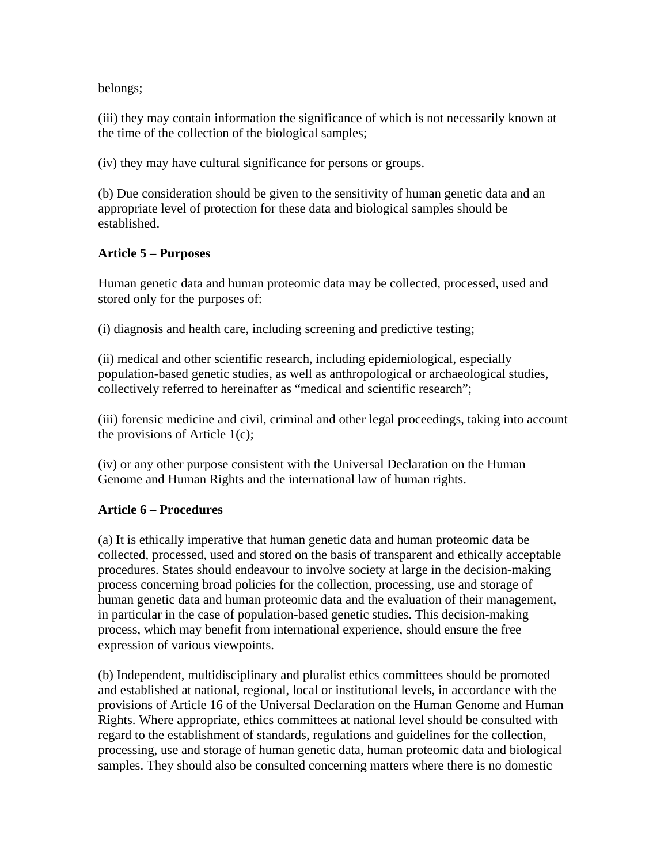belongs;

(iii) they may contain information the significance of which is not necessarily known at the time of the collection of the biological samples;

(iv) they may have cultural significance for persons or groups.

(b) Due consideration should be given to the sensitivity of human genetic data and an appropriate level of protection for these data and biological samples should be established.

## **Article 5 – Purposes**

Human genetic data and human proteomic data may be collected, processed, used and stored only for the purposes of:

(i) diagnosis and health care, including screening and predictive testing;

(ii) medical and other scientific research, including epidemiological, especially population-based genetic studies, as well as anthropological or archaeological studies, collectively referred to hereinafter as "medical and scientific research";

(iii) forensic medicine and civil, criminal and other legal proceedings, taking into account the provisions of Article 1(c);

(iv) or any other purpose consistent with the Universal Declaration on the Human Genome and Human Rights and the international law of human rights.

# **Article 6 – Procedures**

(a) It is ethically imperative that human genetic data and human proteomic data be collected, processed, used and stored on the basis of transparent and ethically acceptable procedures. States should endeavour to involve society at large in the decision-making process concerning broad policies for the collection, processing, use and storage of human genetic data and human proteomic data and the evaluation of their management, in particular in the case of population-based genetic studies. This decision-making process, which may benefit from international experience, should ensure the free expression of various viewpoints.

(b) Independent, multidisciplinary and pluralist ethics committees should be promoted and established at national, regional, local or institutional levels, in accordance with the provisions of Article 16 of the Universal Declaration on the Human Genome and Human Rights. Where appropriate, ethics committees at national level should be consulted with regard to the establishment of standards, regulations and guidelines for the collection, processing, use and storage of human genetic data, human proteomic data and biological samples. They should also be consulted concerning matters where there is no domestic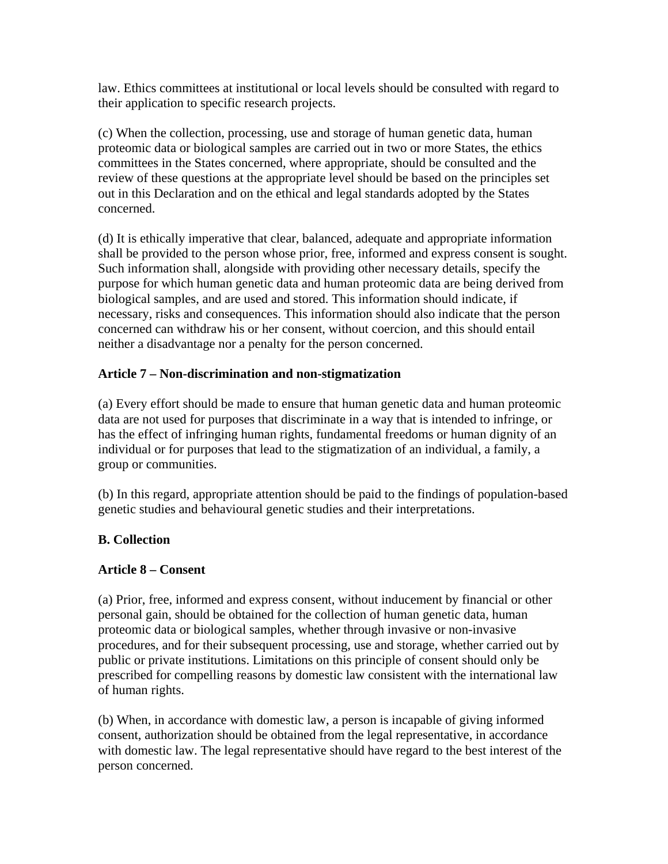law. Ethics committees at institutional or local levels should be consulted with regard to their application to specific research projects.

(c) When the collection, processing, use and storage of human genetic data, human proteomic data or biological samples are carried out in two or more States, the ethics committees in the States concerned, where appropriate, should be consulted and the review of these questions at the appropriate level should be based on the principles set out in this Declaration and on the ethical and legal standards adopted by the States concerned.

(d) It is ethically imperative that clear, balanced, adequate and appropriate information shall be provided to the person whose prior, free, informed and express consent is sought. Such information shall, alongside with providing other necessary details, specify the purpose for which human genetic data and human proteomic data are being derived from biological samples, and are used and stored. This information should indicate, if necessary, risks and consequences. This information should also indicate that the person concerned can withdraw his or her consent, without coercion, and this should entail neither a disadvantage nor a penalty for the person concerned.

#### **Article 7 – Non-discrimination and non-stigmatization**

(a) Every effort should be made to ensure that human genetic data and human proteomic data are not used for purposes that discriminate in a way that is intended to infringe, or has the effect of infringing human rights, fundamental freedoms or human dignity of an individual or for purposes that lead to the stigmatization of an individual, a family, a group or communities.

(b) In this regard, appropriate attention should be paid to the findings of population-based genetic studies and behavioural genetic studies and their interpretations.

### **B. Collection**

#### **Article 8 – Consent**

(a) Prior, free, informed and express consent, without inducement by financial or other personal gain, should be obtained for the collection of human genetic data, human proteomic data or biological samples, whether through invasive or non-invasive procedures, and for their subsequent processing, use and storage, whether carried out by public or private institutions. Limitations on this principle of consent should only be prescribed for compelling reasons by domestic law consistent with the international law of human rights.

(b) When, in accordance with domestic law, a person is incapable of giving informed consent, authorization should be obtained from the legal representative, in accordance with domestic law. The legal representative should have regard to the best interest of the person concerned.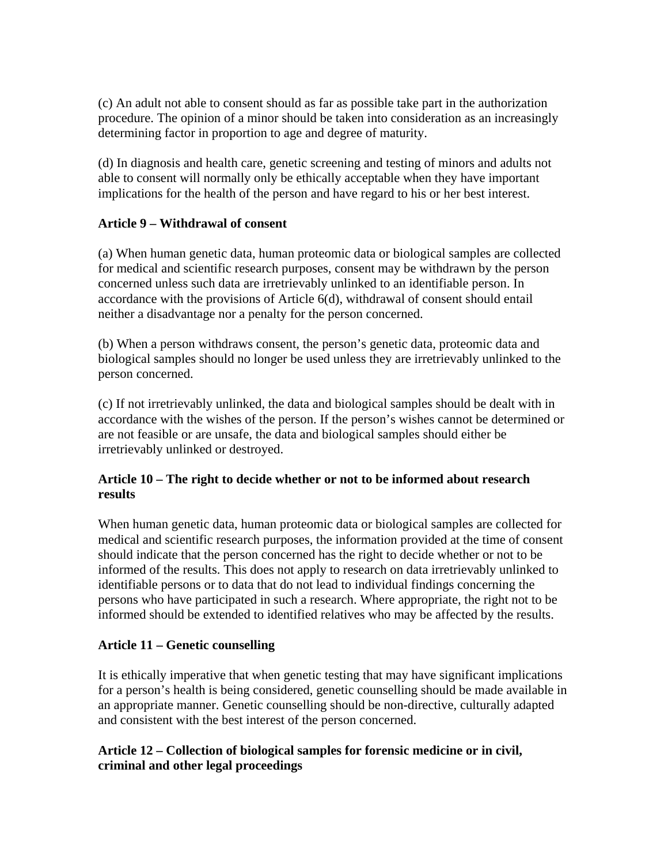(c) An adult not able to consent should as far as possible take part in the authorization procedure. The opinion of a minor should be taken into consideration as an increasingly determining factor in proportion to age and degree of maturity.

(d) In diagnosis and health care, genetic screening and testing of minors and adults not able to consent will normally only be ethically acceptable when they have important implications for the health of the person and have regard to his or her best interest.

# **Article 9 – Withdrawal of consent**

(a) When human genetic data, human proteomic data or biological samples are collected for medical and scientific research purposes, consent may be withdrawn by the person concerned unless such data are irretrievably unlinked to an identifiable person. In accordance with the provisions of Article 6(d), withdrawal of consent should entail neither a disadvantage nor a penalty for the person concerned.

(b) When a person withdraws consent, the person's genetic data, proteomic data and biological samples should no longer be used unless they are irretrievably unlinked to the person concerned.

(c) If not irretrievably unlinked, the data and biological samples should be dealt with in accordance with the wishes of the person. If the person's wishes cannot be determined or are not feasible or are unsafe, the data and biological samples should either be irretrievably unlinked or destroyed.

# **Article 10 – The right to decide whether or not to be informed about research results**

When human genetic data, human proteomic data or biological samples are collected for medical and scientific research purposes, the information provided at the time of consent should indicate that the person concerned has the right to decide whether or not to be informed of the results. This does not apply to research on data irretrievably unlinked to identifiable persons or to data that do not lead to individual findings concerning the persons who have participated in such a research. Where appropriate, the right not to be informed should be extended to identified relatives who may be affected by the results.

# **Article 11 – Genetic counselling**

It is ethically imperative that when genetic testing that may have significant implications for a person's health is being considered, genetic counselling should be made available in an appropriate manner. Genetic counselling should be non-directive, culturally adapted and consistent with the best interest of the person concerned.

# **Article 12 – Collection of biological samples for forensic medicine or in civil, criminal and other legal proceedings**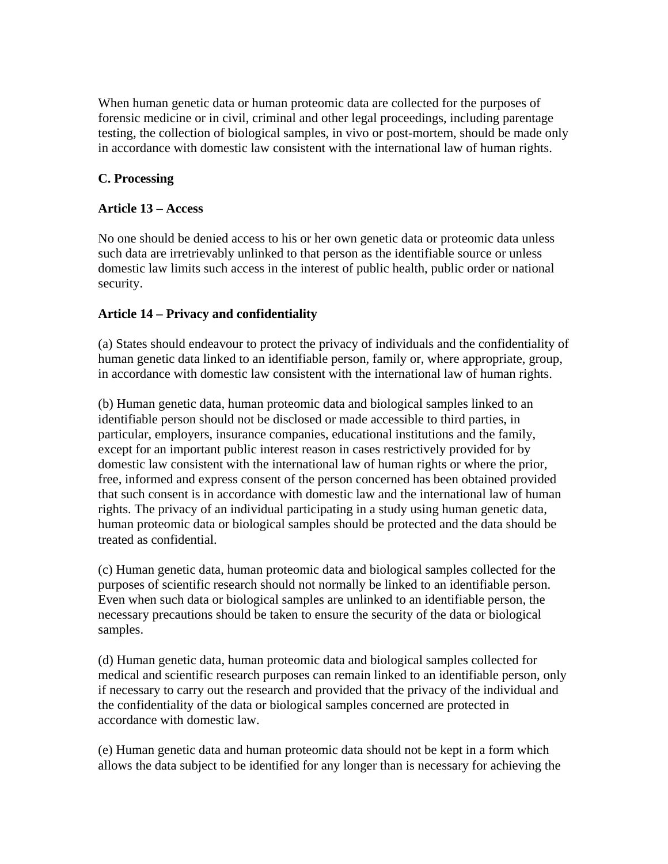When human genetic data or human proteomic data are collected for the purposes of forensic medicine or in civil, criminal and other legal proceedings, including parentage testing, the collection of biological samples, in vivo or post-mortem, should be made only in accordance with domestic law consistent with the international law of human rights.

## **C. Processing**

### **Article 13 – Access**

No one should be denied access to his or her own genetic data or proteomic data unless such data are irretrievably unlinked to that person as the identifiable source or unless domestic law limits such access in the interest of public health, public order or national security.

#### **Article 14 – Privacy and confidentiality**

(a) States should endeavour to protect the privacy of individuals and the confidentiality of human genetic data linked to an identifiable person, family or, where appropriate, group, in accordance with domestic law consistent with the international law of human rights.

(b) Human genetic data, human proteomic data and biological samples linked to an identifiable person should not be disclosed or made accessible to third parties, in particular, employers, insurance companies, educational institutions and the family, except for an important public interest reason in cases restrictively provided for by domestic law consistent with the international law of human rights or where the prior, free, informed and express consent of the person concerned has been obtained provided that such consent is in accordance with domestic law and the international law of human rights. The privacy of an individual participating in a study using human genetic data, human proteomic data or biological samples should be protected and the data should be treated as confidential.

(c) Human genetic data, human proteomic data and biological samples collected for the purposes of scientific research should not normally be linked to an identifiable person. Even when such data or biological samples are unlinked to an identifiable person, the necessary precautions should be taken to ensure the security of the data or biological samples.

(d) Human genetic data, human proteomic data and biological samples collected for medical and scientific research purposes can remain linked to an identifiable person, only if necessary to carry out the research and provided that the privacy of the individual and the confidentiality of the data or biological samples concerned are protected in accordance with domestic law.

(e) Human genetic data and human proteomic data should not be kept in a form which allows the data subject to be identified for any longer than is necessary for achieving the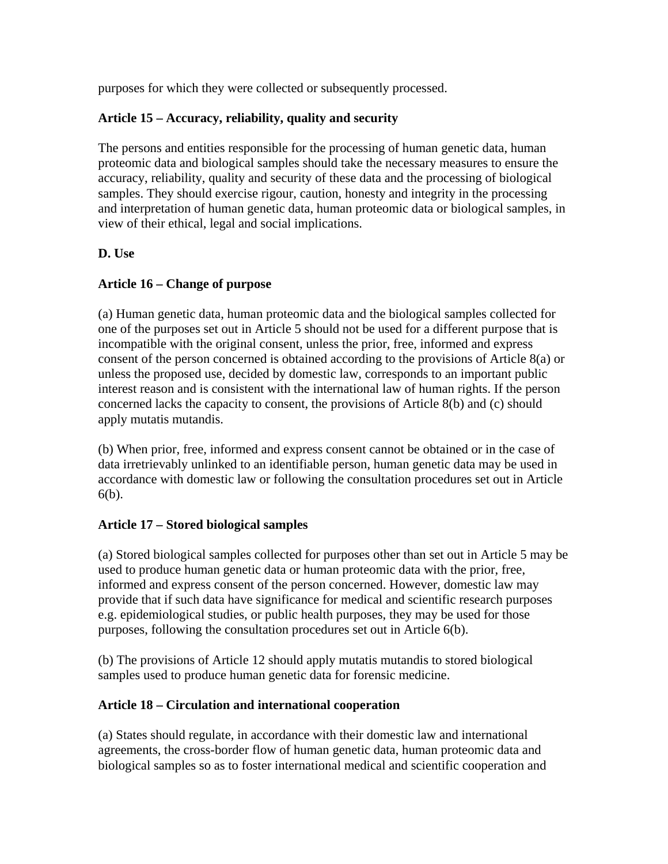purposes for which they were collected or subsequently processed.

# **Article 15 – Accuracy, reliability, quality and security**

The persons and entities responsible for the processing of human genetic data, human proteomic data and biological samples should take the necessary measures to ensure the accuracy, reliability, quality and security of these data and the processing of biological samples. They should exercise rigour, caution, honesty and integrity in the processing and interpretation of human genetic data, human proteomic data or biological samples, in view of their ethical, legal and social implications.

## **D. Use**

# **Article 16 – Change of purpose**

(a) Human genetic data, human proteomic data and the biological samples collected for one of the purposes set out in Article 5 should not be used for a different purpose that is incompatible with the original consent, unless the prior, free, informed and express consent of the person concerned is obtained according to the provisions of Article 8(a) or unless the proposed use, decided by domestic law, corresponds to an important public interest reason and is consistent with the international law of human rights. If the person concerned lacks the capacity to consent, the provisions of Article 8(b) and (c) should apply mutatis mutandis.

(b) When prior, free, informed and express consent cannot be obtained or in the case of data irretrievably unlinked to an identifiable person, human genetic data may be used in accordance with domestic law or following the consultation procedures set out in Article 6(b).

# **Article 17 – Stored biological samples**

(a) Stored biological samples collected for purposes other than set out in Article 5 may be used to produce human genetic data or human proteomic data with the prior, free, informed and express consent of the person concerned. However, domestic law may provide that if such data have significance for medical and scientific research purposes e.g. epidemiological studies, or public health purposes, they may be used for those purposes, following the consultation procedures set out in Article 6(b).

(b) The provisions of Article 12 should apply mutatis mutandis to stored biological samples used to produce human genetic data for forensic medicine.

# **Article 18 – Circulation and international cooperation**

(a) States should regulate, in accordance with their domestic law and international agreements, the cross-border flow of human genetic data, human proteomic data and biological samples so as to foster international medical and scientific cooperation and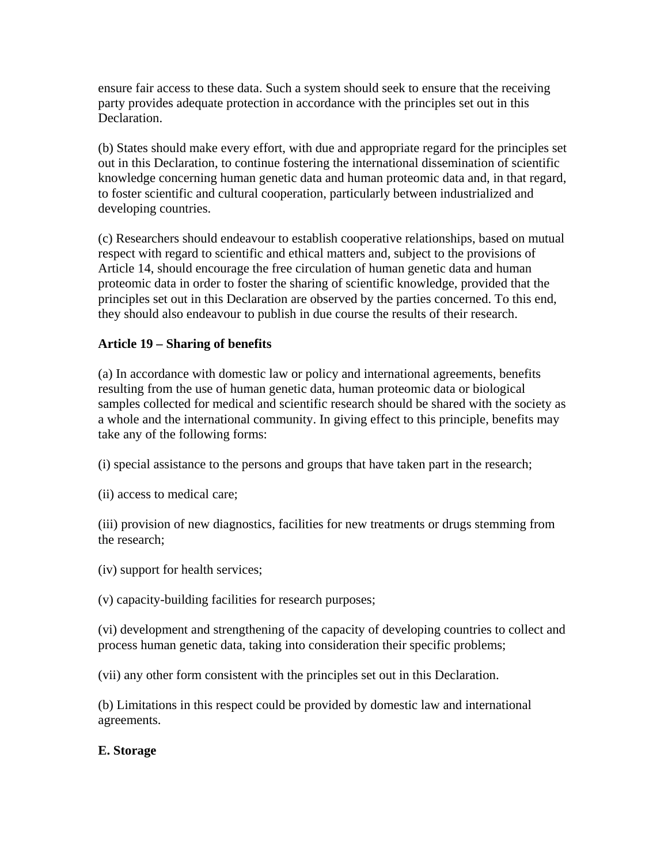ensure fair access to these data. Such a system should seek to ensure that the receiving party provides adequate protection in accordance with the principles set out in this Declaration.

(b) States should make every effort, with due and appropriate regard for the principles set out in this Declaration, to continue fostering the international dissemination of scientific knowledge concerning human genetic data and human proteomic data and, in that regard, to foster scientific and cultural cooperation, particularly between industrialized and developing countries.

(c) Researchers should endeavour to establish cooperative relationships, based on mutual respect with regard to scientific and ethical matters and, subject to the provisions of Article 14, should encourage the free circulation of human genetic data and human proteomic data in order to foster the sharing of scientific knowledge, provided that the principles set out in this Declaration are observed by the parties concerned. To this end, they should also endeavour to publish in due course the results of their research.

#### **Article 19 – Sharing of benefits**

(a) In accordance with domestic law or policy and international agreements, benefits resulting from the use of human genetic data, human proteomic data or biological samples collected for medical and scientific research should be shared with the society as a whole and the international community. In giving effect to this principle, benefits may take any of the following forms:

(i) special assistance to the persons and groups that have taken part in the research;

(ii) access to medical care;

(iii) provision of new diagnostics, facilities for new treatments or drugs stemming from the research;

(iv) support for health services;

(v) capacity-building facilities for research purposes;

(vi) development and strengthening of the capacity of developing countries to collect and process human genetic data, taking into consideration their specific problems;

(vii) any other form consistent with the principles set out in this Declaration.

(b) Limitations in this respect could be provided by domestic law and international agreements.

# **E. Storage**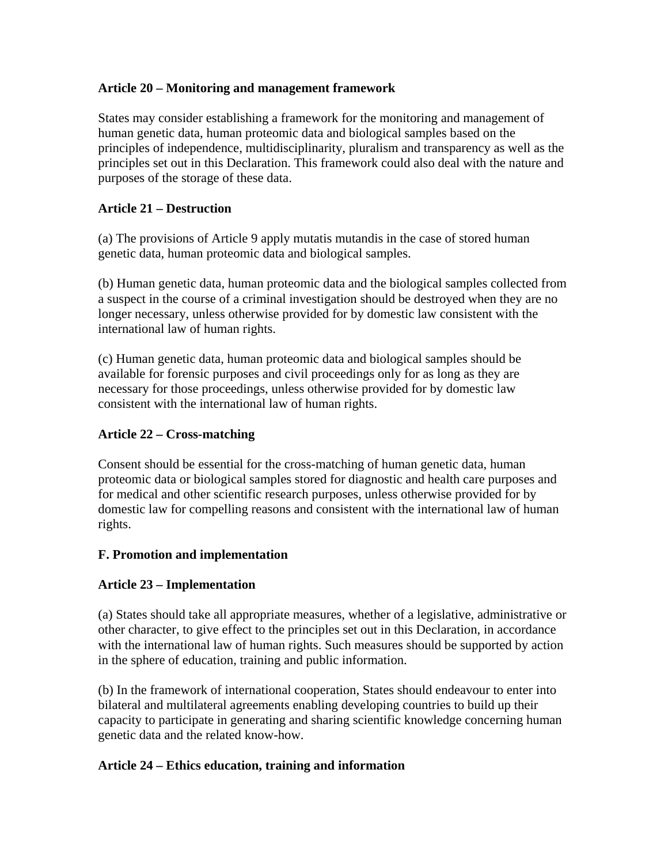## **Article 20 – Monitoring and management framework**

States may consider establishing a framework for the monitoring and management of human genetic data, human proteomic data and biological samples based on the principles of independence, multidisciplinarity, pluralism and transparency as well as the principles set out in this Declaration. This framework could also deal with the nature and purposes of the storage of these data.

## **Article 21 – Destruction**

(a) The provisions of Article 9 apply mutatis mutandis in the case of stored human genetic data, human proteomic data and biological samples.

(b) Human genetic data, human proteomic data and the biological samples collected from a suspect in the course of a criminal investigation should be destroyed when they are no longer necessary, unless otherwise provided for by domestic law consistent with the international law of human rights.

(c) Human genetic data, human proteomic data and biological samples should be available for forensic purposes and civil proceedings only for as long as they are necessary for those proceedings, unless otherwise provided for by domestic law consistent with the international law of human rights.

## **Article 22 – Cross-matching**

Consent should be essential for the cross-matching of human genetic data, human proteomic data or biological samples stored for diagnostic and health care purposes and for medical and other scientific research purposes, unless otherwise provided for by domestic law for compelling reasons and consistent with the international law of human rights.

# **F. Promotion and implementation**

# **Article 23 – Implementation**

(a) States should take all appropriate measures, whether of a legislative, administrative or other character, to give effect to the principles set out in this Declaration, in accordance with the international law of human rights. Such measures should be supported by action in the sphere of education, training and public information.

(b) In the framework of international cooperation, States should endeavour to enter into bilateral and multilateral agreements enabling developing countries to build up their capacity to participate in generating and sharing scientific knowledge concerning human genetic data and the related know-how.

#### **Article 24 – Ethics education, training and information**